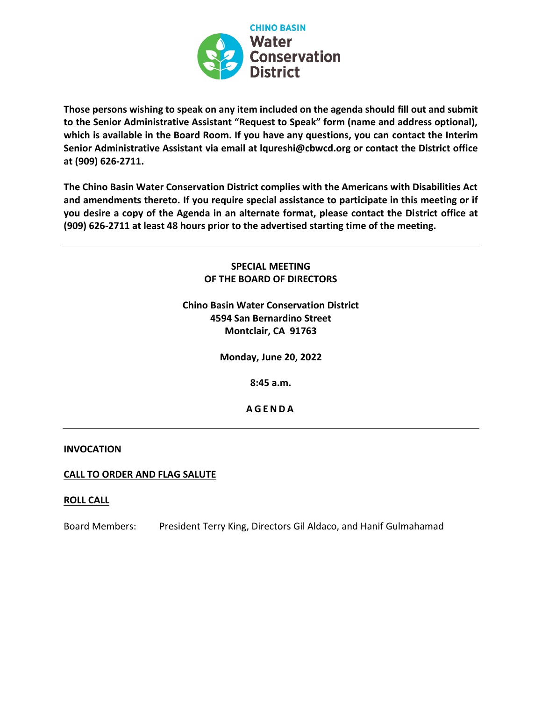

**Those persons wishing to speak on any item included on the agenda should fill out and submit to the Senior Administrative Assistant "Request to Speak" form (name and address optional), which is available in the Board Room. If you have any questions, you can contact the Interim Senior Administrative Assistant via email at lqureshi@cbwcd.org or contact the District office at (909) 626-2711.** 

**The Chino Basin Water Conservation District complies with the Americans with Disabilities Act and amendments thereto. If you require special assistance to participate in this meeting or if you desire a copy of the Agenda in an alternate format, please contact the District office at (909) 626-2711 at least 48 hours prior to the advertised starting time of the meeting.**

## **SPECIAL MEETING OF THE BOARD OF DIRECTORS**

# **Chino Basin Water Conservation District 4594 San Bernardino Street Montclair, CA 91763**

**Monday, June 20, 2022**

**8:45 a.m.**

**A G E N D A**

#### **INVOCATION**

## **CALL TO ORDER AND FLAG SALUTE**

#### **ROLL CALL**

Board Members: President Terry King, Directors Gil Aldaco, and Hanif Gulmahamad